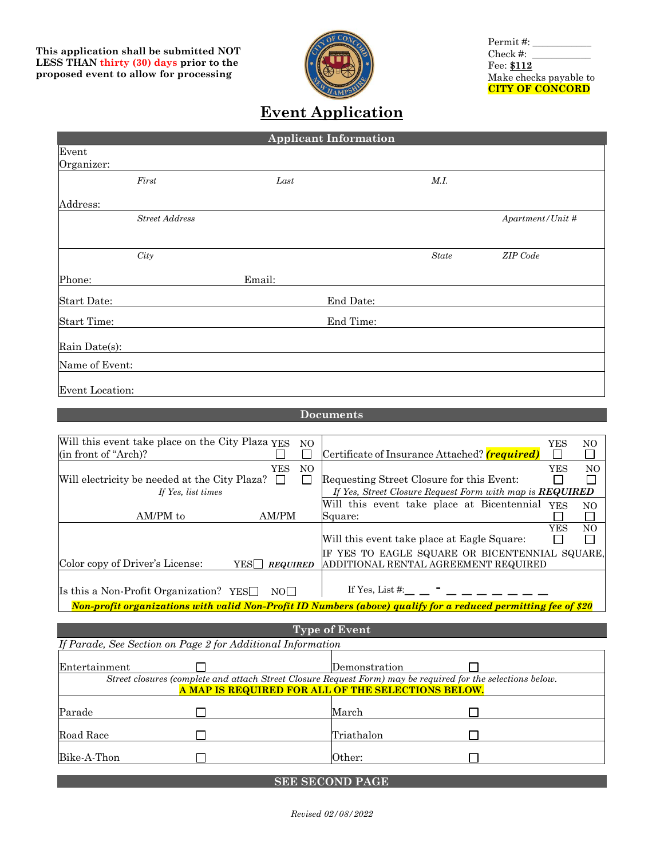

Permit#:\_ Check #:  $\_\_$ Fee: **\$112** Make checks payable to **CITY OF CONCORD**

## **Event Application**

| <b>Applicant Information</b> |                       |        |           |                   |                  |  |
|------------------------------|-----------------------|--------|-----------|-------------------|------------------|--|
| Event<br>Organizer:          |                       |        |           |                   |                  |  |
|                              | First                 | Last   |           | $M.\mathfrak{l}.$ |                  |  |
| Address:                     |                       |        |           |                   |                  |  |
|                              | <b>Street Address</b> |        |           |                   | Apartment/Unit # |  |
|                              | City                  |        |           | $State$           | ZIP Code         |  |
| Phone:                       |                       | Email: |           |                   |                  |  |
| Start Date:                  |                       |        | End Date: |                   |                  |  |
| <b>Start Time:</b>           |                       |        | End Time: |                   |                  |  |
| Rain Date(s):                |                       |        |           |                   |                  |  |
| Name of Event:               |                       |        |           |                   |                  |  |
| Event Location:              |                       |        |           |                   |                  |  |

## **Documents**

| Will this event take place on the City Plaza YES |                            | NO. |                                                                                                                | YES        | NO             |
|--------------------------------------------------|----------------------------|-----|----------------------------------------------------------------------------------------------------------------|------------|----------------|
| (in front of "Arch)?                             |                            |     | Certificate of Insurance Attached? (required)                                                                  |            |                |
|                                                  | YES                        | NO. |                                                                                                                | <b>YES</b> | N <sub>O</sub> |
| Will electricity be needed at the City Plaza?    | $\perp$                    |     | Requesting Street Closure for this Event:                                                                      |            |                |
| If Yes, list times                               |                            |     | If Yes, Street Closure Request Form with map is <b>REQUIRED</b>                                                |            |                |
|                                                  |                            |     | Will this event take place at Bicentennial                                                                     | <b>YES</b> | NO             |
| AM/PM to                                         | AM/PM                      |     | Square:                                                                                                        |            |                |
|                                                  |                            |     |                                                                                                                | <b>YES</b> | N <sub>O</sub> |
|                                                  |                            |     | Will this event take place at Eagle Square:                                                                    |            |                |
|                                                  |                            |     | IF YES TO EAGLE SQUARE OR BICENTENNIAL SQUARE,                                                                 |            |                |
| Color copy of Driver's License:                  | $YES \Box$ <i>REQUIRED</i> |     | ADDITIONAL RENTAL AGREEMENT REQUIRED                                                                           |            |                |
|                                                  |                            |     |                                                                                                                |            |                |
| Is this a Non-Profit Organization? YES $\Box$    | NOL L                      |     | If Yes, List $\#$ :                                                                                            |            |                |
|                                                  |                            |     | Non-profit organizations with valid Non-Profit ID Numbers (above) qualify for a reduced permitting fee of \$20 |            |                |

| <b>Type of Event</b>                                                                                                                                              |  |               |  |  |  |  |
|-------------------------------------------------------------------------------------------------------------------------------------------------------------------|--|---------------|--|--|--|--|
| If Parade, See Section on Page 2 for Additional Information                                                                                                       |  |               |  |  |  |  |
| Entertainment                                                                                                                                                     |  | Demonstration |  |  |  |  |
| Street closures (complete and attach Street Closure Request Form) may be required for the selections below.<br>A MAP IS REQUIRED FOR ALL OF THE SELECTIONS BELOW. |  |               |  |  |  |  |
| Parade                                                                                                                                                            |  | March         |  |  |  |  |
| Road Race                                                                                                                                                         |  | Triathalon    |  |  |  |  |
| Bike-A-Thon                                                                                                                                                       |  | Other:        |  |  |  |  |
|                                                                                                                                                                   |  |               |  |  |  |  |

**SEE SECOND PAGE**